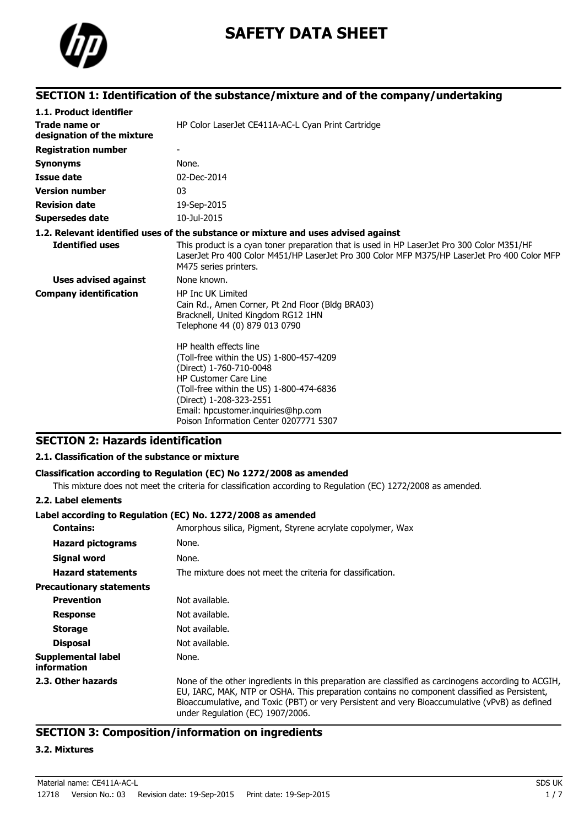

# **SAFETY DATA SHEET**

# **SECTION 1: Identification of the substance/mixture and of the company/undertaking**

| 1.1. Product identifier                     |                                                                                                                                                                                                                                                                                      |
|---------------------------------------------|--------------------------------------------------------------------------------------------------------------------------------------------------------------------------------------------------------------------------------------------------------------------------------------|
| Trade name or<br>designation of the mixture | HP Color LaserJet CE411A-AC-L Cyan Print Cartridge                                                                                                                                                                                                                                   |
| <b>Registration number</b>                  |                                                                                                                                                                                                                                                                                      |
| <b>Synonyms</b>                             | None.                                                                                                                                                                                                                                                                                |
| <b>Issue date</b>                           | 02-Dec-2014                                                                                                                                                                                                                                                                          |
| <b>Version number</b>                       | 03                                                                                                                                                                                                                                                                                   |
| <b>Revision date</b>                        | 19-Sep-2015                                                                                                                                                                                                                                                                          |
| <b>Supersedes date</b>                      | 10-Jul-2015                                                                                                                                                                                                                                                                          |
|                                             | 1.2. Relevant identified uses of the substance or mixture and uses advised against                                                                                                                                                                                                   |
| <b>Identified uses</b>                      | This product is a cyan toner preparation that is used in HP LaserJet Pro 300 Color M351/HF<br>LaserJet Pro 400 Color M451/HP LaserJet Pro 300 Color MFP M375/HP LaserJet Pro 400 Color MFP<br>M475 series printers.                                                                  |
| <b>Uses advised against</b>                 | None known.                                                                                                                                                                                                                                                                          |
| <b>Company identification</b>               | <b>HP Inc UK Limited</b><br>Cain Rd., Amen Corner, Pt 2nd Floor (Bldg BRA03)<br>Bracknell, United Kingdom RG12 1HN<br>Telephone 44 (0) 879 013 0790                                                                                                                                  |
|                                             | HP health effects line<br>(Toll-free within the US) 1-800-457-4209<br>(Direct) 1-760-710-0048<br><b>HP Customer Care Line</b><br>(Toll-free within the US) 1-800-474-6836<br>(Direct) 1-208-323-2551<br>Email: hpcustomer.inquiries@hp.com<br>Poison Information Center 0207771 5307 |

### **SECTION 2: Hazards identification**

#### **2.1. Classification of the substance or mixture**

#### **Classification according to Regulation (EC) No 1272/2008 as amended**

This mixture does not meet the criteria for classification according to Regulation (EC) 1272/2008 as amended.

#### **2.2. Label elements**

#### **Label according to Regulation (EC) No. 1272/2008 as amended**

| <b>Contains:</b>                  | Amorphous silica, Pigment, Styrene acrylate copolymer, Wax                                                                                                                                                                                                                                                                                |
|-----------------------------------|-------------------------------------------------------------------------------------------------------------------------------------------------------------------------------------------------------------------------------------------------------------------------------------------------------------------------------------------|
| <b>Hazard pictograms</b>          | None.                                                                                                                                                                                                                                                                                                                                     |
| Signal word                       | None.                                                                                                                                                                                                                                                                                                                                     |
| <b>Hazard statements</b>          | The mixture does not meet the criteria for classification.                                                                                                                                                                                                                                                                                |
| <b>Precautionary statements</b>   |                                                                                                                                                                                                                                                                                                                                           |
| <b>Prevention</b>                 | Not available.                                                                                                                                                                                                                                                                                                                            |
| <b>Response</b>                   | Not available.                                                                                                                                                                                                                                                                                                                            |
| <b>Storage</b>                    | Not available.                                                                                                                                                                                                                                                                                                                            |
| <b>Disposal</b>                   | Not available.                                                                                                                                                                                                                                                                                                                            |
| Supplemental label<br>information | None.                                                                                                                                                                                                                                                                                                                                     |
| 2.3. Other hazards                | None of the other ingredients in this preparation are classified as carcinogens according to ACGIH,<br>EU, IARC, MAK, NTP or OSHA. This preparation contains no component classified as Persistent,<br>Bioaccumulative, and Toxic (PBT) or very Persistent and very Bioaccumulative (vPvB) as defined<br>under Regulation (EC) 1907/2006. |

### **SECTION 3: Composition/information on ingredients**

#### **3.2. Mixtures**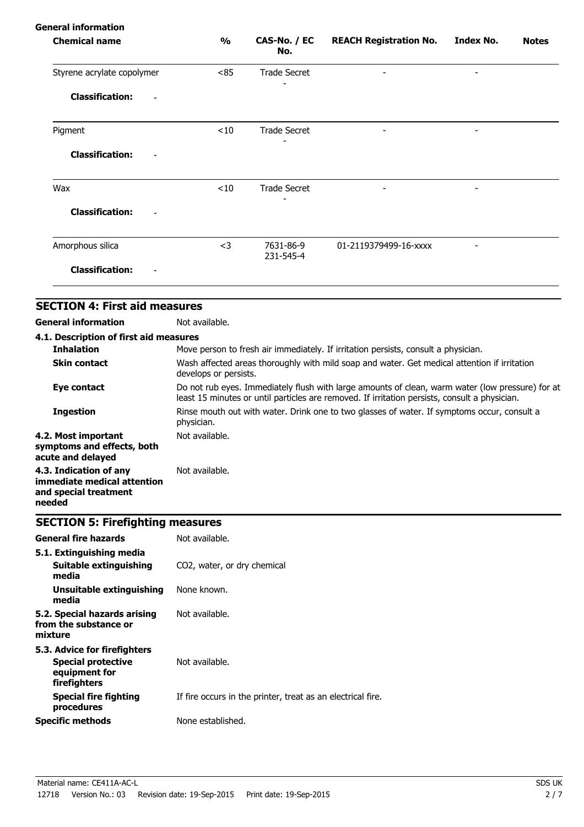| $\frac{1}{2}$                     | CAS-No. / EC<br>No.    | <b>REACH Registration No.</b> | <b>Index No.</b>         | <b>Notes</b> |
|-----------------------------------|------------------------|-------------------------------|--------------------------|--------------|
| Styrene acrylate copolymer<br><85 | <b>Trade Secret</b>    |                               |                          |              |
|                                   |                        |                               |                          |              |
| < 10                              | <b>Trade Secret</b>    |                               |                          |              |
|                                   |                        |                               |                          |              |
| $<$ 10                            | <b>Trade Secret</b>    |                               | $\overline{\phantom{a}}$ |              |
|                                   |                        |                               |                          |              |
| $<$ 3                             | 7631-86-9<br>231-545-4 | 01-2119379499-16-xxxx         |                          |              |
|                                   |                        |                               |                          |              |
|                                   |                        |                               |                          |              |

| 4.1. Description of first aid measures                                                   |                                                                                                                                                                                                   |
|------------------------------------------------------------------------------------------|---------------------------------------------------------------------------------------------------------------------------------------------------------------------------------------------------|
| <b>Inhalation</b>                                                                        | Move person to fresh air immediately. If irritation persists, consult a physician.                                                                                                                |
| <b>Skin contact</b>                                                                      | Wash affected areas thoroughly with mild soap and water. Get medical attention if irritation<br>develops or persists.                                                                             |
| Eye contact                                                                              | Do not rub eyes. Immediately flush with large amounts of clean, warm water (low pressure) for at<br>least 15 minutes or until particles are removed. If irritation persists, consult a physician. |
| <b>Ingestion</b>                                                                         | Rinse mouth out with water. Drink one to two glasses of water. If symptoms occur, consult a<br>physician.                                                                                         |
| 4.2. Most important<br>symptoms and effects, both<br>acute and delayed                   | Not available.                                                                                                                                                                                    |
| 4.3. Indication of any<br>immediate medical attention<br>and special treatment<br>needed | Not available.                                                                                                                                                                                    |

# **SECTION 5: Firefighting measures**

| <b>General fire hazards</b>                                                                | Not available.                                              |
|--------------------------------------------------------------------------------------------|-------------------------------------------------------------|
| 5.1. Extinguishing media<br>Suitable extinguishing<br>media                                | CO <sub>2</sub> , water, or dry chemical                    |
| Unsuitable extinguishing<br>media                                                          | None known.                                                 |
| 5.2. Special hazards arising<br>from the substance or<br>mixture                           | Not available.                                              |
| 5.3. Advice for firefighters<br><b>Special protective</b><br>equipment for<br>firefighters | Not available.                                              |
| <b>Special fire fighting</b><br>procedures                                                 | If fire occurs in the printer, treat as an electrical fire. |
| <b>Specific methods</b>                                                                    | None established.                                           |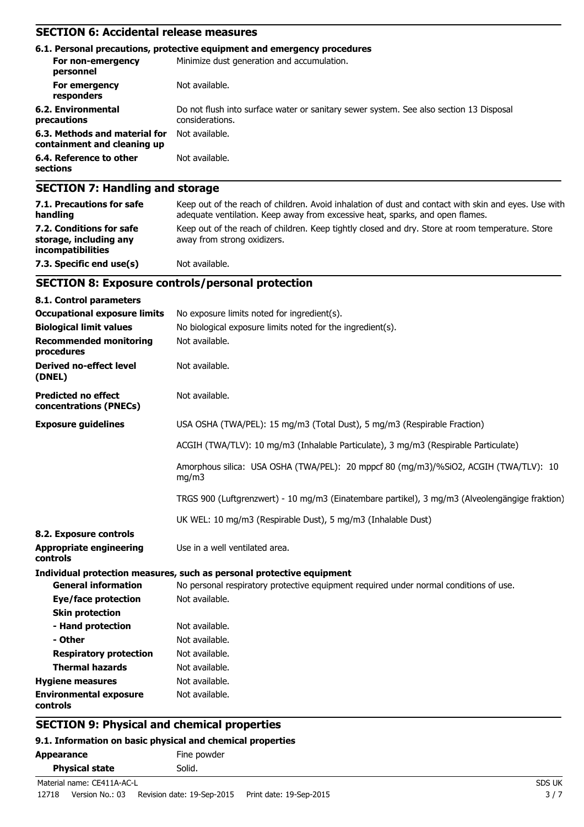## **SECTION 6: Accidental release measures**

|                                                              | 6.1. Personal precautions, protective equipment and emergency procedures                                  |
|--------------------------------------------------------------|-----------------------------------------------------------------------------------------------------------|
| For non-emergency<br>personnel                               | Minimize dust generation and accumulation.                                                                |
| For emergency<br>responders                                  | Not available.                                                                                            |
| 6.2. Environmental<br>precautions                            | Do not flush into surface water or sanitary sewer system. See also section 13 Disposal<br>considerations. |
| 6.3. Methods and material for<br>containment and cleaning up | Not available.                                                                                            |
| 6.4. Reference to other<br>sections                          | Not available.                                                                                            |
| ---                                                          |                                                                                                           |

### **SECTION 7: Handling and storage**

| 7.1. Precautions for safe<br>handling                                          | Keep out of the reach of children. Avoid inhalation of dust and contact with skin and eyes. Use with<br>adequate ventilation. Keep away from excessive heat, sparks, and open flames. |
|--------------------------------------------------------------------------------|---------------------------------------------------------------------------------------------------------------------------------------------------------------------------------------|
| 7.2. Conditions for safe<br>storage, including any<br><i>incompatibilities</i> | Keep out of the reach of children. Keep tightly closed and dry. Store at room temperature. Store<br>away from strong oxidizers.                                                       |
| 7.3. Specific end use(s)                                                       | Not available.                                                                                                                                                                        |

### **SECTION 8: Exposure controls/personal protection**

| 8.1. Control parameters                              |                                                                                                |
|------------------------------------------------------|------------------------------------------------------------------------------------------------|
| <b>Occupational exposure limits</b>                  | No exposure limits noted for ingredient(s).                                                    |
| <b>Biological limit values</b>                       | No biological exposure limits noted for the ingredient(s).                                     |
| <b>Recommended monitoring</b><br>procedures          | Not available.                                                                                 |
| <b>Derived no-effect level</b><br>(DNEL)             | Not available.                                                                                 |
| <b>Predicted no effect</b><br>concentrations (PNECs) | Not available.                                                                                 |
| <b>Exposure guidelines</b>                           | USA OSHA (TWA/PEL): 15 mg/m3 (Total Dust), 5 mg/m3 (Respirable Fraction)                       |
|                                                      | ACGIH (TWA/TLV): 10 mg/m3 (Inhalable Particulate), 3 mg/m3 (Respirable Particulate)            |
|                                                      | Amorphous silica: USA OSHA (TWA/PEL): 20 mppcf 80 (mg/m3)/%SiO2, ACGIH (TWA/TLV): 10<br>mg/m3  |
|                                                      | TRGS 900 (Luftgrenzwert) - 10 mg/m3 (Einatembare partikel), 3 mg/m3 (Alveolengängige fraktion) |
|                                                      | UK WEL: 10 mg/m3 (Respirable Dust), 5 mg/m3 (Inhalable Dust)                                   |
| 8.2. Exposure controls                               |                                                                                                |
| <b>Appropriate engineering</b><br>controls           | Use in a well ventilated area.                                                                 |
|                                                      | Individual protection measures, such as personal protective equipment                          |
| <b>General information</b>                           | No personal respiratory protective equipment required under normal conditions of use.          |
| <b>Eye/face protection</b>                           | Not available.                                                                                 |
| <b>Skin protection</b>                               |                                                                                                |
| - Hand protection                                    | Not available.                                                                                 |
| - Other                                              | Not available.                                                                                 |
| <b>Respiratory protection</b>                        | Not available.                                                                                 |
| <b>Thermal hazards</b>                               | Not available.                                                                                 |
| <b>Hygiene measures</b>                              | Not available.                                                                                 |
| <b>Environmental exposure</b><br>controls            | Not available.                                                                                 |

### **SECTION 9: Physical and chemical properties**

### **9.1. Information on basic physical and chemical properties**

| Appearance            | Fine powder |  |
|-----------------------|-------------|--|
| <b>Physical state</b> | Solid.      |  |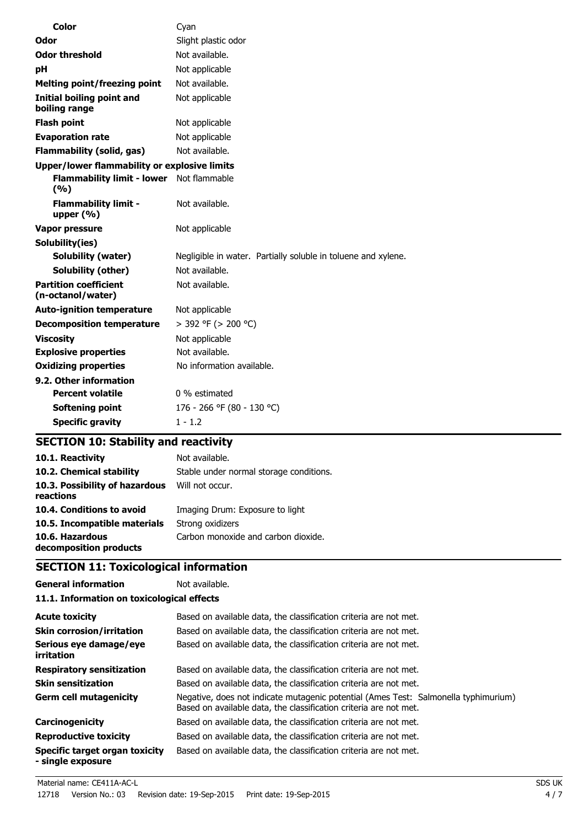| Color                                             | Cyan                                                          |
|---------------------------------------------------|---------------------------------------------------------------|
| Odor                                              | Slight plastic odor                                           |
| <b>Odor threshold</b>                             | Not available.                                                |
| рH                                                | Not applicable                                                |
| <b>Melting point/freezing point</b>               | Not available.                                                |
| Initial boiling point and<br>boiling range        | Not applicable                                                |
| <b>Flash point</b>                                | Not applicable                                                |
| <b>Evaporation rate</b>                           | Not applicable                                                |
| <b>Flammability (solid, gas)</b>                  | Not available.                                                |
| Upper/lower flammability or explosive limits      |                                                               |
| <b>Flammability limit - lower</b><br>(9/6)        | Not flammable                                                 |
| <b>Flammability limit -</b><br>upper (%)          | Not available.                                                |
| Vapor pressure                                    | Not applicable                                                |
| Solubility(ies)                                   |                                                               |
| Solubility (water)                                | Negligible in water. Partially soluble in toluene and xylene. |
| <b>Solubility (other)</b>                         | Not available.                                                |
| <b>Partition coefficient</b><br>(n-octanol/water) | Not available.                                                |
| <b>Auto-ignition temperature</b>                  | Not applicable                                                |
| <b>Decomposition temperature</b>                  | > 392 °F (> 200 °C)                                           |
| <b>Viscosity</b>                                  | Not applicable                                                |
| <b>Explosive properties</b>                       | Not available.                                                |
| <b>Oxidizing properties</b>                       | No information available.                                     |
| 9.2. Other information                            |                                                               |
| <b>Percent volatile</b>                           | 0 % estimated                                                 |
| Softening point                                   | 176 - 266 °F (80 - 130 °C)                                    |
| <b>Specific gravity</b>                           | $1 - 1.2$                                                     |

# **SECTION 10: Stability and reactivity**

| 10.1. Reactivity                            | Not available.                          |
|---------------------------------------------|-----------------------------------------|
| 10.2. Chemical stability                    | Stable under normal storage conditions. |
| 10.3. Possibility of hazardous<br>reactions | Will not occur.                         |
| 10.4. Conditions to avoid                   | Imaging Drum: Exposure to light         |
| 10.5. Incompatible materials                | Strong oxidizers                        |
| 10.6. Hazardous<br>decomposition products   | Carbon monoxide and carbon dioxide.     |

# **SECTION 11: Toxicological information**

**General information** Not available. **11.1. Information on toxicological effects**

| <b>Acute toxicity</b>                                      | Based on available data, the classification criteria are not met.                                                                                        |
|------------------------------------------------------------|----------------------------------------------------------------------------------------------------------------------------------------------------------|
| <b>Skin corrosion/irritation</b>                           | Based on available data, the classification criteria are not met.                                                                                        |
| Serious eye damage/eye<br><i>irritation</i>                | Based on available data, the classification criteria are not met.                                                                                        |
| <b>Respiratory sensitization</b>                           | Based on available data, the classification criteria are not met.                                                                                        |
| <b>Skin sensitization</b>                                  | Based on available data, the classification criteria are not met.                                                                                        |
| <b>Germ cell mutagenicity</b>                              | Negative, does not indicate mutagenic potential (Ames Test: Salmonella typhimurium)<br>Based on available data, the classification criteria are not met. |
| Carcinogenicity                                            | Based on available data, the classification criteria are not met.                                                                                        |
| <b>Reproductive toxicity</b>                               | Based on available data, the classification criteria are not met.                                                                                        |
| <b>Specific target organ toxicity</b><br>- single exposure | Based on available data, the classification criteria are not met.                                                                                        |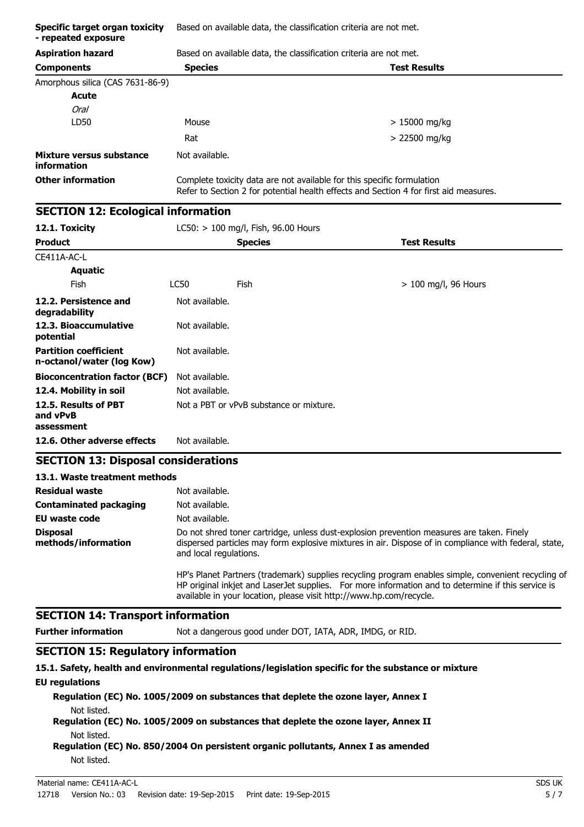| <b>Aspiration hazard</b><br>Based on available data, the classification criteria are not met.<br><b>Test Results</b><br><b>Components</b><br><b>Species</b><br>Amorphous silica (CAS 7631-86-9)<br><b>Acute</b><br><b>Oral</b><br>LD50<br>Mouse<br>$>15000$ mg/kg<br>> 22500 mg/kg<br>Rat<br>Mixture versus substance<br>Not available.<br>information<br><b>Other information</b><br>Complete toxicity data are not available for this specific formulation<br>Refer to Section 2 for potential health effects and Section 4 for first aid measures.<br><b>SECTION 12: Ecological information</b><br>12.1. Toxicity<br>LC50: > 100 mg/l, Fish, 96.00 Hours<br><b>Product</b><br><b>Test Results</b><br><b>Species</b><br>CE411A-AC-L<br><b>Aquatic</b><br><b>Fish</b><br><b>LC50</b><br>Fish<br>> 100 mg/l, 96 Hours<br>12.2. Persistence and<br>Not available.<br>degradability<br>12.3. Bioaccumulative<br>Not available.<br>potential<br><b>Partition coefficient</b><br>Not available.<br>n-octanol/water (log Kow)<br>Not available.<br><b>Bioconcentration factor (BCF)</b><br>12.4. Mobility in soil<br>Not available.<br>12.5. Results of PBT<br>Not a PBT or vPvB substance or mixture.<br>and vPvB<br>assessment<br>12.6. Other adverse effects<br>Not available.<br><b>SECTION 13: Disposal considerations</b><br>13.1. Waste treatment methods<br><b>Residual waste</b><br>Not available.<br>Not available.<br><b>Contaminated packaging</b><br>EU waste code<br>Not available.<br><b>Disposal</b><br>Do not shred toner cartridge, unless dust-explosion prevention measures are taken. Finely<br>methods/information<br>dispersed particles may form explosive mixtures in air. Dispose of in compliance with federal, state,<br>and local regulations.<br>HP's Planet Partners (trademark) supplies recycling program enables simple, convenient recycling of<br>HP original inkjet and LaserJet supplies. For more information and to determine if this service is<br>available in your location, please visit http://www.hp.com/recycle.<br><b>SECTION 14: Transport information</b><br><b>Further information</b><br>Not a dangerous good under DOT, IATA, ADR, IMDG, or RID.<br><b>SECTION 15: Regulatory information</b><br>15.1. Safety, health and environmental regulations/legislation specific for the substance or mixture | Specific target organ toxicity<br>- repeated exposure | Based on available data, the classification criteria are not met. |  |  |  |
|-------------------------------------------------------------------------------------------------------------------------------------------------------------------------------------------------------------------------------------------------------------------------------------------------------------------------------------------------------------------------------------------------------------------------------------------------------------------------------------------------------------------------------------------------------------------------------------------------------------------------------------------------------------------------------------------------------------------------------------------------------------------------------------------------------------------------------------------------------------------------------------------------------------------------------------------------------------------------------------------------------------------------------------------------------------------------------------------------------------------------------------------------------------------------------------------------------------------------------------------------------------------------------------------------------------------------------------------------------------------------------------------------------------------------------------------------------------------------------------------------------------------------------------------------------------------------------------------------------------------------------------------------------------------------------------------------------------------------------------------------------------------------------------------------------------------------------------------------------------------------------------------------------------------------------------------------------------------------------------------------------------------------------------------------------------------------------------------------------------------------------------------------------------------------------------------------------------------------------------------------------------------------------------------------------------------------------------------------------|-------------------------------------------------------|-------------------------------------------------------------------|--|--|--|
|                                                                                                                                                                                                                                                                                                                                                                                                                                                                                                                                                                                                                                                                                                                                                                                                                                                                                                                                                                                                                                                                                                                                                                                                                                                                                                                                                                                                                                                                                                                                                                                                                                                                                                                                                                                                                                                                                                                                                                                                                                                                                                                                                                                                                                                                                                                                                       |                                                       |                                                                   |  |  |  |
|                                                                                                                                                                                                                                                                                                                                                                                                                                                                                                                                                                                                                                                                                                                                                                                                                                                                                                                                                                                                                                                                                                                                                                                                                                                                                                                                                                                                                                                                                                                                                                                                                                                                                                                                                                                                                                                                                                                                                                                                                                                                                                                                                                                                                                                                                                                                                       |                                                       |                                                                   |  |  |  |
|                                                                                                                                                                                                                                                                                                                                                                                                                                                                                                                                                                                                                                                                                                                                                                                                                                                                                                                                                                                                                                                                                                                                                                                                                                                                                                                                                                                                                                                                                                                                                                                                                                                                                                                                                                                                                                                                                                                                                                                                                                                                                                                                                                                                                                                                                                                                                       |                                                       |                                                                   |  |  |  |
|                                                                                                                                                                                                                                                                                                                                                                                                                                                                                                                                                                                                                                                                                                                                                                                                                                                                                                                                                                                                                                                                                                                                                                                                                                                                                                                                                                                                                                                                                                                                                                                                                                                                                                                                                                                                                                                                                                                                                                                                                                                                                                                                                                                                                                                                                                                                                       |                                                       |                                                                   |  |  |  |
|                                                                                                                                                                                                                                                                                                                                                                                                                                                                                                                                                                                                                                                                                                                                                                                                                                                                                                                                                                                                                                                                                                                                                                                                                                                                                                                                                                                                                                                                                                                                                                                                                                                                                                                                                                                                                                                                                                                                                                                                                                                                                                                                                                                                                                                                                                                                                       |                                                       |                                                                   |  |  |  |
|                                                                                                                                                                                                                                                                                                                                                                                                                                                                                                                                                                                                                                                                                                                                                                                                                                                                                                                                                                                                                                                                                                                                                                                                                                                                                                                                                                                                                                                                                                                                                                                                                                                                                                                                                                                                                                                                                                                                                                                                                                                                                                                                                                                                                                                                                                                                                       |                                                       |                                                                   |  |  |  |
|                                                                                                                                                                                                                                                                                                                                                                                                                                                                                                                                                                                                                                                                                                                                                                                                                                                                                                                                                                                                                                                                                                                                                                                                                                                                                                                                                                                                                                                                                                                                                                                                                                                                                                                                                                                                                                                                                                                                                                                                                                                                                                                                                                                                                                                                                                                                                       |                                                       |                                                                   |  |  |  |
|                                                                                                                                                                                                                                                                                                                                                                                                                                                                                                                                                                                                                                                                                                                                                                                                                                                                                                                                                                                                                                                                                                                                                                                                                                                                                                                                                                                                                                                                                                                                                                                                                                                                                                                                                                                                                                                                                                                                                                                                                                                                                                                                                                                                                                                                                                                                                       |                                                       |                                                                   |  |  |  |
|                                                                                                                                                                                                                                                                                                                                                                                                                                                                                                                                                                                                                                                                                                                                                                                                                                                                                                                                                                                                                                                                                                                                                                                                                                                                                                                                                                                                                                                                                                                                                                                                                                                                                                                                                                                                                                                                                                                                                                                                                                                                                                                                                                                                                                                                                                                                                       |                                                       |                                                                   |  |  |  |
|                                                                                                                                                                                                                                                                                                                                                                                                                                                                                                                                                                                                                                                                                                                                                                                                                                                                                                                                                                                                                                                                                                                                                                                                                                                                                                                                                                                                                                                                                                                                                                                                                                                                                                                                                                                                                                                                                                                                                                                                                                                                                                                                                                                                                                                                                                                                                       |                                                       |                                                                   |  |  |  |
|                                                                                                                                                                                                                                                                                                                                                                                                                                                                                                                                                                                                                                                                                                                                                                                                                                                                                                                                                                                                                                                                                                                                                                                                                                                                                                                                                                                                                                                                                                                                                                                                                                                                                                                                                                                                                                                                                                                                                                                                                                                                                                                                                                                                                                                                                                                                                       |                                                       |                                                                   |  |  |  |
|                                                                                                                                                                                                                                                                                                                                                                                                                                                                                                                                                                                                                                                                                                                                                                                                                                                                                                                                                                                                                                                                                                                                                                                                                                                                                                                                                                                                                                                                                                                                                                                                                                                                                                                                                                                                                                                                                                                                                                                                                                                                                                                                                                                                                                                                                                                                                       |                                                       |                                                                   |  |  |  |
|                                                                                                                                                                                                                                                                                                                                                                                                                                                                                                                                                                                                                                                                                                                                                                                                                                                                                                                                                                                                                                                                                                                                                                                                                                                                                                                                                                                                                                                                                                                                                                                                                                                                                                                                                                                                                                                                                                                                                                                                                                                                                                                                                                                                                                                                                                                                                       |                                                       |                                                                   |  |  |  |
|                                                                                                                                                                                                                                                                                                                                                                                                                                                                                                                                                                                                                                                                                                                                                                                                                                                                                                                                                                                                                                                                                                                                                                                                                                                                                                                                                                                                                                                                                                                                                                                                                                                                                                                                                                                                                                                                                                                                                                                                                                                                                                                                                                                                                                                                                                                                                       |                                                       |                                                                   |  |  |  |
|                                                                                                                                                                                                                                                                                                                                                                                                                                                                                                                                                                                                                                                                                                                                                                                                                                                                                                                                                                                                                                                                                                                                                                                                                                                                                                                                                                                                                                                                                                                                                                                                                                                                                                                                                                                                                                                                                                                                                                                                                                                                                                                                                                                                                                                                                                                                                       |                                                       |                                                                   |  |  |  |
|                                                                                                                                                                                                                                                                                                                                                                                                                                                                                                                                                                                                                                                                                                                                                                                                                                                                                                                                                                                                                                                                                                                                                                                                                                                                                                                                                                                                                                                                                                                                                                                                                                                                                                                                                                                                                                                                                                                                                                                                                                                                                                                                                                                                                                                                                                                                                       |                                                       |                                                                   |  |  |  |
|                                                                                                                                                                                                                                                                                                                                                                                                                                                                                                                                                                                                                                                                                                                                                                                                                                                                                                                                                                                                                                                                                                                                                                                                                                                                                                                                                                                                                                                                                                                                                                                                                                                                                                                                                                                                                                                                                                                                                                                                                                                                                                                                                                                                                                                                                                                                                       |                                                       |                                                                   |  |  |  |
|                                                                                                                                                                                                                                                                                                                                                                                                                                                                                                                                                                                                                                                                                                                                                                                                                                                                                                                                                                                                                                                                                                                                                                                                                                                                                                                                                                                                                                                                                                                                                                                                                                                                                                                                                                                                                                                                                                                                                                                                                                                                                                                                                                                                                                                                                                                                                       |                                                       |                                                                   |  |  |  |
|                                                                                                                                                                                                                                                                                                                                                                                                                                                                                                                                                                                                                                                                                                                                                                                                                                                                                                                                                                                                                                                                                                                                                                                                                                                                                                                                                                                                                                                                                                                                                                                                                                                                                                                                                                                                                                                                                                                                                                                                                                                                                                                                                                                                                                                                                                                                                       |                                                       |                                                                   |  |  |  |
|                                                                                                                                                                                                                                                                                                                                                                                                                                                                                                                                                                                                                                                                                                                                                                                                                                                                                                                                                                                                                                                                                                                                                                                                                                                                                                                                                                                                                                                                                                                                                                                                                                                                                                                                                                                                                                                                                                                                                                                                                                                                                                                                                                                                                                                                                                                                                       |                                                       |                                                                   |  |  |  |
|                                                                                                                                                                                                                                                                                                                                                                                                                                                                                                                                                                                                                                                                                                                                                                                                                                                                                                                                                                                                                                                                                                                                                                                                                                                                                                                                                                                                                                                                                                                                                                                                                                                                                                                                                                                                                                                                                                                                                                                                                                                                                                                                                                                                                                                                                                                                                       |                                                       |                                                                   |  |  |  |
|                                                                                                                                                                                                                                                                                                                                                                                                                                                                                                                                                                                                                                                                                                                                                                                                                                                                                                                                                                                                                                                                                                                                                                                                                                                                                                                                                                                                                                                                                                                                                                                                                                                                                                                                                                                                                                                                                                                                                                                                                                                                                                                                                                                                                                                                                                                                                       |                                                       |                                                                   |  |  |  |
|                                                                                                                                                                                                                                                                                                                                                                                                                                                                                                                                                                                                                                                                                                                                                                                                                                                                                                                                                                                                                                                                                                                                                                                                                                                                                                                                                                                                                                                                                                                                                                                                                                                                                                                                                                                                                                                                                                                                                                                                                                                                                                                                                                                                                                                                                                                                                       |                                                       |                                                                   |  |  |  |
|                                                                                                                                                                                                                                                                                                                                                                                                                                                                                                                                                                                                                                                                                                                                                                                                                                                                                                                                                                                                                                                                                                                                                                                                                                                                                                                                                                                                                                                                                                                                                                                                                                                                                                                                                                                                                                                                                                                                                                                                                                                                                                                                                                                                                                                                                                                                                       |                                                       |                                                                   |  |  |  |
|                                                                                                                                                                                                                                                                                                                                                                                                                                                                                                                                                                                                                                                                                                                                                                                                                                                                                                                                                                                                                                                                                                                                                                                                                                                                                                                                                                                                                                                                                                                                                                                                                                                                                                                                                                                                                                                                                                                                                                                                                                                                                                                                                                                                                                                                                                                                                       |                                                       |                                                                   |  |  |  |
|                                                                                                                                                                                                                                                                                                                                                                                                                                                                                                                                                                                                                                                                                                                                                                                                                                                                                                                                                                                                                                                                                                                                                                                                                                                                                                                                                                                                                                                                                                                                                                                                                                                                                                                                                                                                                                                                                                                                                                                                                                                                                                                                                                                                                                                                                                                                                       |                                                       |                                                                   |  |  |  |
|                                                                                                                                                                                                                                                                                                                                                                                                                                                                                                                                                                                                                                                                                                                                                                                                                                                                                                                                                                                                                                                                                                                                                                                                                                                                                                                                                                                                                                                                                                                                                                                                                                                                                                                                                                                                                                                                                                                                                                                                                                                                                                                                                                                                                                                                                                                                                       |                                                       |                                                                   |  |  |  |
|                                                                                                                                                                                                                                                                                                                                                                                                                                                                                                                                                                                                                                                                                                                                                                                                                                                                                                                                                                                                                                                                                                                                                                                                                                                                                                                                                                                                                                                                                                                                                                                                                                                                                                                                                                                                                                                                                                                                                                                                                                                                                                                                                                                                                                                                                                                                                       |                                                       |                                                                   |  |  |  |
|                                                                                                                                                                                                                                                                                                                                                                                                                                                                                                                                                                                                                                                                                                                                                                                                                                                                                                                                                                                                                                                                                                                                                                                                                                                                                                                                                                                                                                                                                                                                                                                                                                                                                                                                                                                                                                                                                                                                                                                                                                                                                                                                                                                                                                                                                                                                                       |                                                       |                                                                   |  |  |  |
|                                                                                                                                                                                                                                                                                                                                                                                                                                                                                                                                                                                                                                                                                                                                                                                                                                                                                                                                                                                                                                                                                                                                                                                                                                                                                                                                                                                                                                                                                                                                                                                                                                                                                                                                                                                                                                                                                                                                                                                                                                                                                                                                                                                                                                                                                                                                                       |                                                       |                                                                   |  |  |  |
|                                                                                                                                                                                                                                                                                                                                                                                                                                                                                                                                                                                                                                                                                                                                                                                                                                                                                                                                                                                                                                                                                                                                                                                                                                                                                                                                                                                                                                                                                                                                                                                                                                                                                                                                                                                                                                                                                                                                                                                                                                                                                                                                                                                                                                                                                                                                                       |                                                       |                                                                   |  |  |  |
|                                                                                                                                                                                                                                                                                                                                                                                                                                                                                                                                                                                                                                                                                                                                                                                                                                                                                                                                                                                                                                                                                                                                                                                                                                                                                                                                                                                                                                                                                                                                                                                                                                                                                                                                                                                                                                                                                                                                                                                                                                                                                                                                                                                                                                                                                                                                                       |                                                       |                                                                   |  |  |  |
|                                                                                                                                                                                                                                                                                                                                                                                                                                                                                                                                                                                                                                                                                                                                                                                                                                                                                                                                                                                                                                                                                                                                                                                                                                                                                                                                                                                                                                                                                                                                                                                                                                                                                                                                                                                                                                                                                                                                                                                                                                                                                                                                                                                                                                                                                                                                                       |                                                       |                                                                   |  |  |  |

#### **EU regulations**

**Regulation (EC) No. 1005/2009 on substances that deplete the ozone layer, Annex I** Not listed.

**Regulation (EC) No. 1005/2009 on substances that deplete the ozone layer, Annex II** Not listed.

**Regulation (EC) No. 850/2004 On persistent organic pollutants, Annex I as amended** Not listed.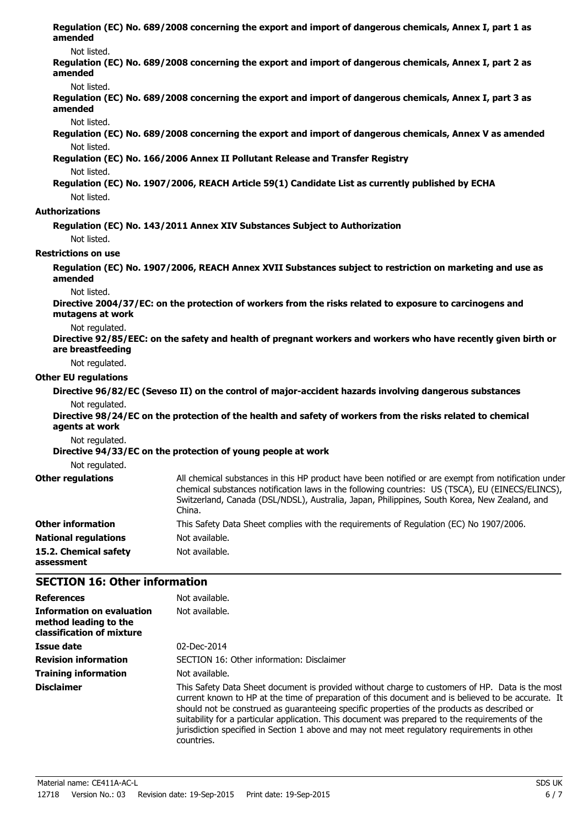| amended                             | Regulation (EC) No. 689/2008 concerning the export and import of dangerous chemicals, Annex I, part 1 as                                                                                                                                                                                                          |
|-------------------------------------|-------------------------------------------------------------------------------------------------------------------------------------------------------------------------------------------------------------------------------------------------------------------------------------------------------------------|
| Not listed.                         |                                                                                                                                                                                                                                                                                                                   |
| amended                             | Regulation (EC) No. 689/2008 concerning the export and import of dangerous chemicals, Annex I, part 2 as                                                                                                                                                                                                          |
| Not listed.<br>amended              | Regulation (EC) No. 689/2008 concerning the export and import of dangerous chemicals, Annex I, part 3 as                                                                                                                                                                                                          |
| Not listed.                         |                                                                                                                                                                                                                                                                                                                   |
|                                     | Regulation (EC) No. 689/2008 concerning the export and import of dangerous chemicals, Annex V as amended                                                                                                                                                                                                          |
| Not listed.                         |                                                                                                                                                                                                                                                                                                                   |
|                                     | Regulation (EC) No. 166/2006 Annex II Pollutant Release and Transfer Registry                                                                                                                                                                                                                                     |
| Not listed.                         | Regulation (EC) No. 1907/2006, REACH Article 59(1) Candidate List as currently published by ECHA                                                                                                                                                                                                                  |
| Not listed.                         |                                                                                                                                                                                                                                                                                                                   |
| <b>Authorizations</b>               |                                                                                                                                                                                                                                                                                                                   |
|                                     | Regulation (EC) No. 143/2011 Annex XIV Substances Subject to Authorization                                                                                                                                                                                                                                        |
| Not listed.                         |                                                                                                                                                                                                                                                                                                                   |
| <b>Restrictions on use</b>          |                                                                                                                                                                                                                                                                                                                   |
| amended                             | Regulation (EC) No. 1907/2006, REACH Annex XVII Substances subject to restriction on marketing and use as                                                                                                                                                                                                         |
| Not listed.                         |                                                                                                                                                                                                                                                                                                                   |
| mutagens at work                    | Directive 2004/37/EC: on the protection of workers from the risks related to exposure to carcinogens and                                                                                                                                                                                                          |
| Not regulated.<br>are breastfeeding | Directive 92/85/EEC: on the safety and health of pregnant workers and workers who have recently given birth or                                                                                                                                                                                                    |
| Not regulated.                      |                                                                                                                                                                                                                                                                                                                   |
| <b>Other EU regulations</b>         |                                                                                                                                                                                                                                                                                                                   |
|                                     | Directive 96/82/EC (Seveso II) on the control of major-accident hazards involving dangerous substances                                                                                                                                                                                                            |
| Not regulated.<br>agents at work    | Directive 98/24/EC on the protection of the health and safety of workers from the risks related to chemical                                                                                                                                                                                                       |
| Not regulated.                      | Directive 94/33/EC on the protection of young people at work                                                                                                                                                                                                                                                      |
| Not regulated.                      |                                                                                                                                                                                                                                                                                                                   |
| <b>Other regulations</b>            | All chemical substances in this HP product have been notified or are exempt from notification under<br>chemical substances notification laws in the following countries: US (TSCA), EU (EINECS/ELINCS),<br>Switzerland, Canada (DSL/NDSL), Australia, Japan, Philippines, South Korea, New Zealand, and<br>China. |
| <b>Other information</b>            | This Safety Data Sheet complies with the requirements of Regulation (EC) No 1907/2006.                                                                                                                                                                                                                            |
| <b>National regulations</b>         | Not available.                                                                                                                                                                                                                                                                                                    |
| 15.2. Chemical safety<br>assessment | Not available.                                                                                                                                                                                                                                                                                                    |

# **SECTION 16: Other information**

| <b>References</b>                                                               | Not available.                                                                                                                                                                                                                                                                                                                                                                                                                                                                                                       |
|---------------------------------------------------------------------------------|----------------------------------------------------------------------------------------------------------------------------------------------------------------------------------------------------------------------------------------------------------------------------------------------------------------------------------------------------------------------------------------------------------------------------------------------------------------------------------------------------------------------|
| Information on evaluation<br>method leading to the<br>classification of mixture | Not available.                                                                                                                                                                                                                                                                                                                                                                                                                                                                                                       |
| Issue date                                                                      | $02$ -Dec-2014                                                                                                                                                                                                                                                                                                                                                                                                                                                                                                       |
| <b>Revision information</b>                                                     | SECTION 16: Other information: Disclaimer                                                                                                                                                                                                                                                                                                                                                                                                                                                                            |
| <b>Training information</b>                                                     | Not available.                                                                                                                                                                                                                                                                                                                                                                                                                                                                                                       |
| <b>Disclaimer</b>                                                               | This Safety Data Sheet document is provided without charge to customers of HP. Data is the most<br>current known to HP at the time of preparation of this document and is believed to be accurate. It<br>should not be construed as guaranteeing specific properties of the products as described or<br>suitability for a particular application. This document was prepared to the requirements of the<br>jurisdiction specified in Section 1 above and may not meet regulatory requirements in other<br>countries. |